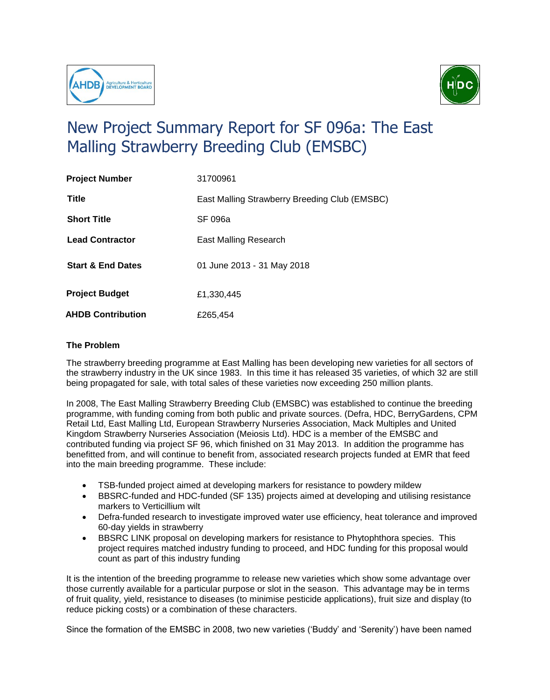



## New Project Summary Report for SF 096a: The East Malling Strawberry Breeding Club (EMSBC)

| <b>Project Number</b>        | 31700961                                      |
|------------------------------|-----------------------------------------------|
| Title                        | East Malling Strawberry Breeding Club (EMSBC) |
| <b>Short Title</b>           | SF 096a                                       |
| <b>Lead Contractor</b>       | East Malling Research                         |
| <b>Start &amp; End Dates</b> | 01 June 2013 - 31 May 2018                    |
| <b>Project Budget</b>        | £1,330,445                                    |
| <b>AHDB Contribution</b>     | £265,454                                      |

## **The Problem**

The strawberry breeding programme at East Malling has been developing new varieties for all sectors of the strawberry industry in the UK since 1983. In this time it has released 35 varieties, of which 32 are still being propagated for sale, with total sales of these varieties now exceeding 250 million plants.

In 2008, The East Malling Strawberry Breeding Club (EMSBC) was established to continue the breeding programme, with funding coming from both public and private sources. (Defra, HDC, BerryGardens, CPM Retail Ltd, East Malling Ltd, European Strawberry Nurseries Association, Mack Multiples and United Kingdom Strawberry Nurseries Association (Meiosis Ltd). HDC is a member of the EMSBC and contributed funding via project SF 96, which finished on 31 May 2013. In addition the programme has benefitted from, and will continue to benefit from, associated research projects funded at EMR that feed into the main breeding programme. These include:

- TSB-funded project aimed at developing markers for resistance to powdery mildew
- BBSRC-funded and HDC-funded (SF 135) projects aimed at developing and utilising resistance markers to Verticillium wilt
- Defra-funded research to investigate improved water use efficiency, heat tolerance and improved 60-day yields in strawberry
- BBSRC LINK proposal on developing markers for resistance to Phytophthora species. This project requires matched industry funding to proceed, and HDC funding for this proposal would count as part of this industry funding

It is the intention of the breeding programme to release new varieties which show some advantage over those currently available for a particular purpose or slot in the season. This advantage may be in terms of fruit quality, yield, resistance to diseases (to minimise pesticide applications), fruit size and display (to reduce picking costs) or a combination of these characters.

Since the formation of the EMSBC in 2008, two new varieties ('Buddy' and 'Serenity') have been named